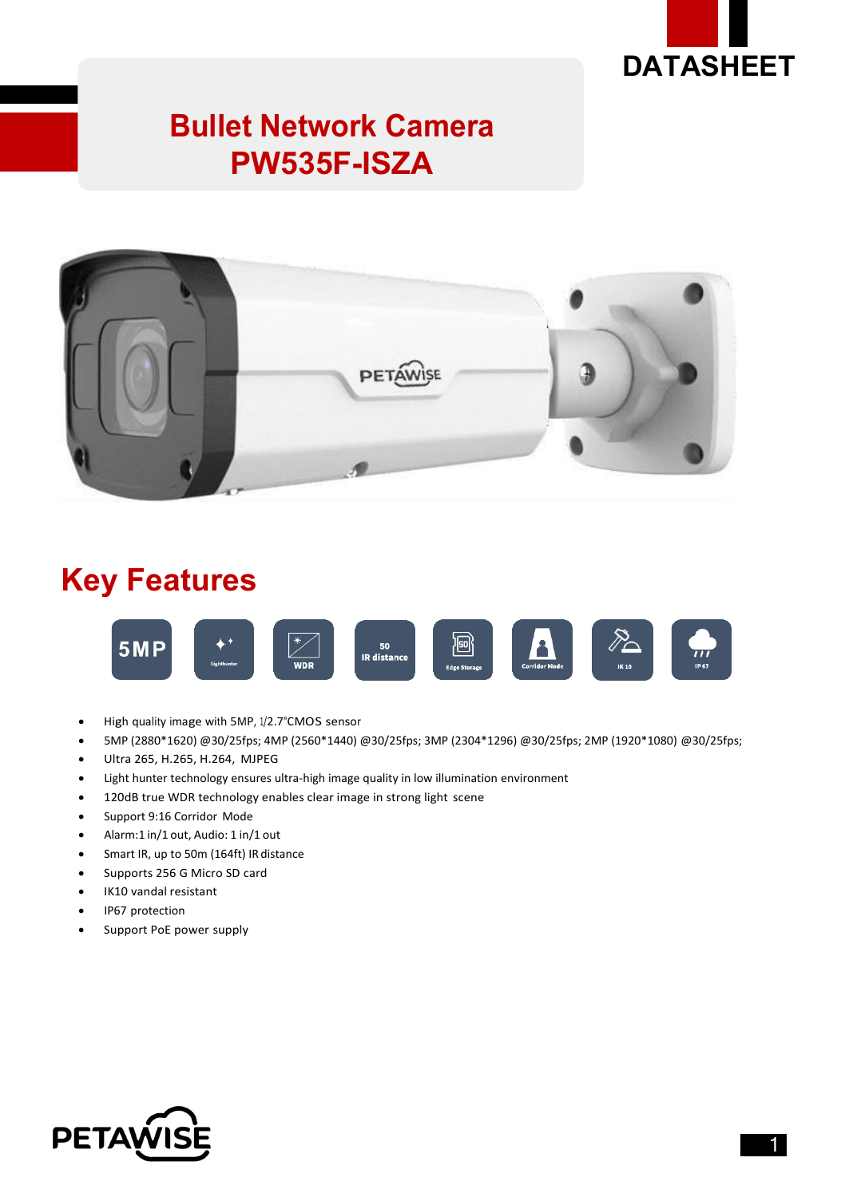

## **Bullet Network Camera PW535F-ISZA**



## **Key Features**



- High quality image with 5MP, 1/2.7"CMOS sensor
- 5MP (2880\*1620) @30/25fps; 4MP (2560\*1440) @30/25fps; 3MP (2304\*1296) @30/25fps; 2MP (1920\*1080) @30/25fps;
- Ultra 265, H.265, H.264, MJPEG
- Light hunter technology ensures ultra-high image quality in low illumination environment
- 120dB true WDR technology enables clear image in strong light scene
- Support 9:16 Corridor Mode
- Alarm:1 in/1 out, Audio: 1 in/1 out
- Smart IR, up to 50m (164ft) IR distance
- Supports 256 G Micro SD card
- IK10 vandal resistant
- IP67 protection
- Support PoE power supply

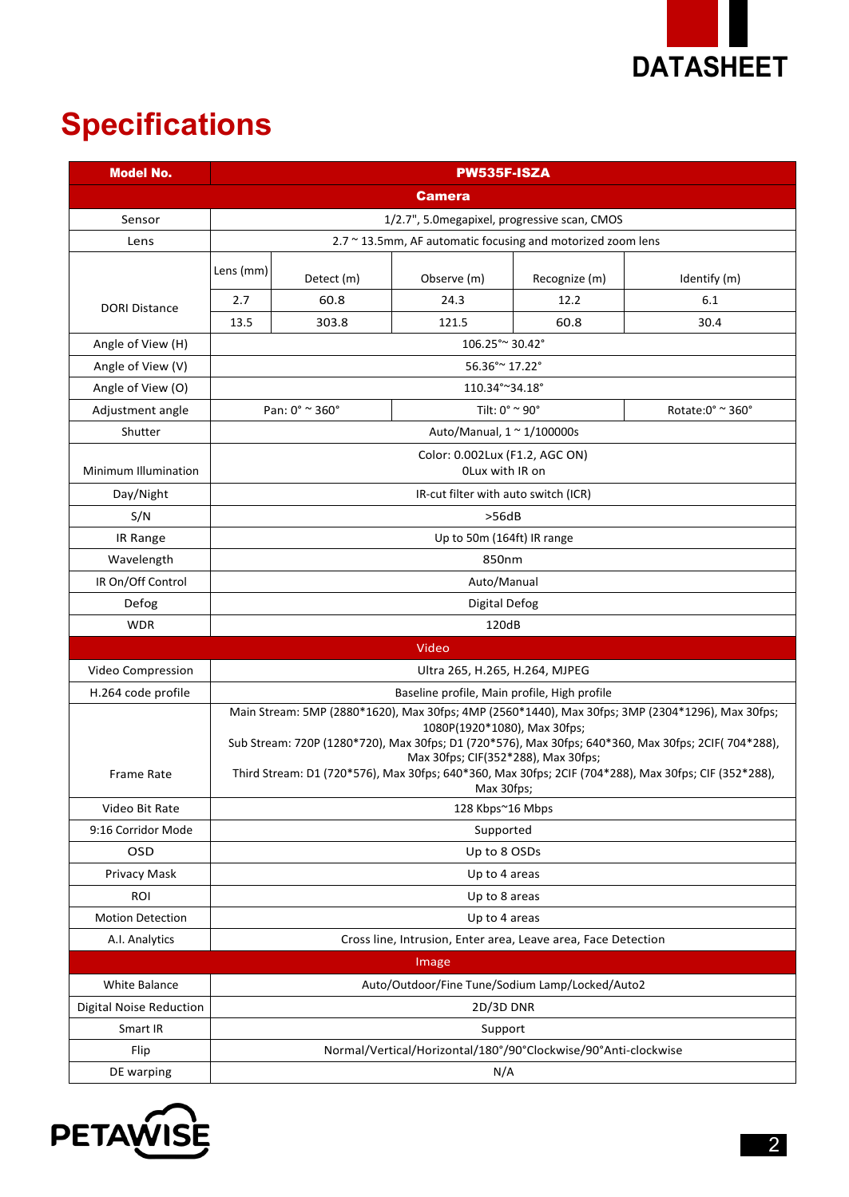

# **Specifications**

| <b>Model No.</b>               |                                                                                                                                                                                                                                                                                                                                                                                                       |                | PW535F-ISZA                      |               |                                      |  |
|--------------------------------|-------------------------------------------------------------------------------------------------------------------------------------------------------------------------------------------------------------------------------------------------------------------------------------------------------------------------------------------------------------------------------------------------------|----------------|----------------------------------|---------------|--------------------------------------|--|
|                                | <b>Camera</b>                                                                                                                                                                                                                                                                                                                                                                                         |                |                                  |               |                                      |  |
| Sensor                         | 1/2.7", 5.0 megapixel, progressive scan, CMOS                                                                                                                                                                                                                                                                                                                                                         |                |                                  |               |                                      |  |
| Lens                           | 2.7 ~ 13.5mm, AF automatic focusing and motorized zoom lens                                                                                                                                                                                                                                                                                                                                           |                |                                  |               |                                      |  |
|                                | Lens (mm)                                                                                                                                                                                                                                                                                                                                                                                             | Detect (m)     | Observe (m)                      | Recognize (m) | Identify (m)                         |  |
| <b>DORI Distance</b>           | 2.7                                                                                                                                                                                                                                                                                                                                                                                                   | 60.8           | 24.3                             | 12.2          | 6.1                                  |  |
|                                | 13.5                                                                                                                                                                                                                                                                                                                                                                                                  | 303.8          | 121.5                            | 60.8          | 30.4                                 |  |
| Angle of View (H)              | 106.25° ~ 30.42°                                                                                                                                                                                                                                                                                                                                                                                      |                |                                  |               |                                      |  |
| Angle of View (V)              | 56.36° ~ 17.22°                                                                                                                                                                                                                                                                                                                                                                                       |                |                                  |               |                                      |  |
| Angle of View (O)              |                                                                                                                                                                                                                                                                                                                                                                                                       | 110.34°~34.18° |                                  |               |                                      |  |
| Adjustment angle               | Pan: $0^\circ$ $\approx$ 360 $^\circ$                                                                                                                                                                                                                                                                                                                                                                 |                | Tilt: $0^\circ \approx 90^\circ$ |               | Rotate: $0^{\circ}$ ~ 360 $^{\circ}$ |  |
| Shutter                        | Auto/Manual, $1 \approx 1/100000$ s                                                                                                                                                                                                                                                                                                                                                                   |                |                                  |               |                                      |  |
| Minimum Illumination           | Color: 0.002Lux (F1.2, AGC ON)<br>OLux with IR on                                                                                                                                                                                                                                                                                                                                                     |                |                                  |               |                                      |  |
| Day/Night                      | IR-cut filter with auto switch (ICR)                                                                                                                                                                                                                                                                                                                                                                  |                |                                  |               |                                      |  |
| S/N                            | >56dB                                                                                                                                                                                                                                                                                                                                                                                                 |                |                                  |               |                                      |  |
| IR Range                       | Up to 50m (164ft) IR range                                                                                                                                                                                                                                                                                                                                                                            |                |                                  |               |                                      |  |
| Wavelength                     | 850nm                                                                                                                                                                                                                                                                                                                                                                                                 |                |                                  |               |                                      |  |
| IR On/Off Control              | Auto/Manual                                                                                                                                                                                                                                                                                                                                                                                           |                |                                  |               |                                      |  |
| Defog                          | Digital Defog                                                                                                                                                                                                                                                                                                                                                                                         |                |                                  |               |                                      |  |
| <b>WDR</b>                     | 120dB                                                                                                                                                                                                                                                                                                                                                                                                 |                |                                  |               |                                      |  |
|                                |                                                                                                                                                                                                                                                                                                                                                                                                       |                | Video                            |               |                                      |  |
| Video Compression              | Ultra 265, H.265, H.264, MJPEG                                                                                                                                                                                                                                                                                                                                                                        |                |                                  |               |                                      |  |
| H.264 code profile             | Baseline profile, Main profile, High profile                                                                                                                                                                                                                                                                                                                                                          |                |                                  |               |                                      |  |
| <b>Frame Rate</b>              | Main Stream: 5MP (2880*1620), Max 30fps; 4MP (2560*1440), Max 30fps; 3MP (2304*1296), Max 30fps;<br>1080P(1920*1080), Max 30fps;<br>Sub Stream: 720P (1280*720), Max 30fps; D1 (720*576), Max 30fps; 640*360, Max 30fps; 2CIF( 704*288),<br>Max 30fps; CIF(352*288), Max 30fps;<br>Third Stream: D1 (720*576), Max 30fps; 640*360, Max 30fps; 2CIF (704*288), Max 30fps; CIF (352*288),<br>Max 30fps; |                |                                  |               |                                      |  |
| Video Bit Rate                 | 128 Kbps~16 Mbps                                                                                                                                                                                                                                                                                                                                                                                      |                |                                  |               |                                      |  |
| 9:16 Corridor Mode             | Supported                                                                                                                                                                                                                                                                                                                                                                                             |                |                                  |               |                                      |  |
| OSD                            | Up to 8 OSDs                                                                                                                                                                                                                                                                                                                                                                                          |                |                                  |               |                                      |  |
| Privacy Mask                   |                                                                                                                                                                                                                                                                                                                                                                                                       | Up to 4 areas  |                                  |               |                                      |  |
| ROI                            | Up to 8 areas                                                                                                                                                                                                                                                                                                                                                                                         |                |                                  |               |                                      |  |
| Motion Detection               | Up to 4 areas                                                                                                                                                                                                                                                                                                                                                                                         |                |                                  |               |                                      |  |
| A.I. Analytics                 | Cross line, Intrusion, Enter area, Leave area, Face Detection                                                                                                                                                                                                                                                                                                                                         |                |                                  |               |                                      |  |
| Image                          |                                                                                                                                                                                                                                                                                                                                                                                                       |                |                                  |               |                                      |  |
| White Balance                  | Auto/Outdoor/Fine Tune/Sodium Lamp/Locked/Auto2                                                                                                                                                                                                                                                                                                                                                       |                |                                  |               |                                      |  |
| <b>Digital Noise Reduction</b> | 2D/3D DNR                                                                                                                                                                                                                                                                                                                                                                                             |                |                                  |               |                                      |  |
| Smart IR                       | Support                                                                                                                                                                                                                                                                                                                                                                                               |                |                                  |               |                                      |  |
| Flip                           | Normal/Vertical/Horizontal/180°/90°Clockwise/90°Anti-clockwise                                                                                                                                                                                                                                                                                                                                        |                |                                  |               |                                      |  |
| DE warping                     | N/A                                                                                                                                                                                                                                                                                                                                                                                                   |                |                                  |               |                                      |  |

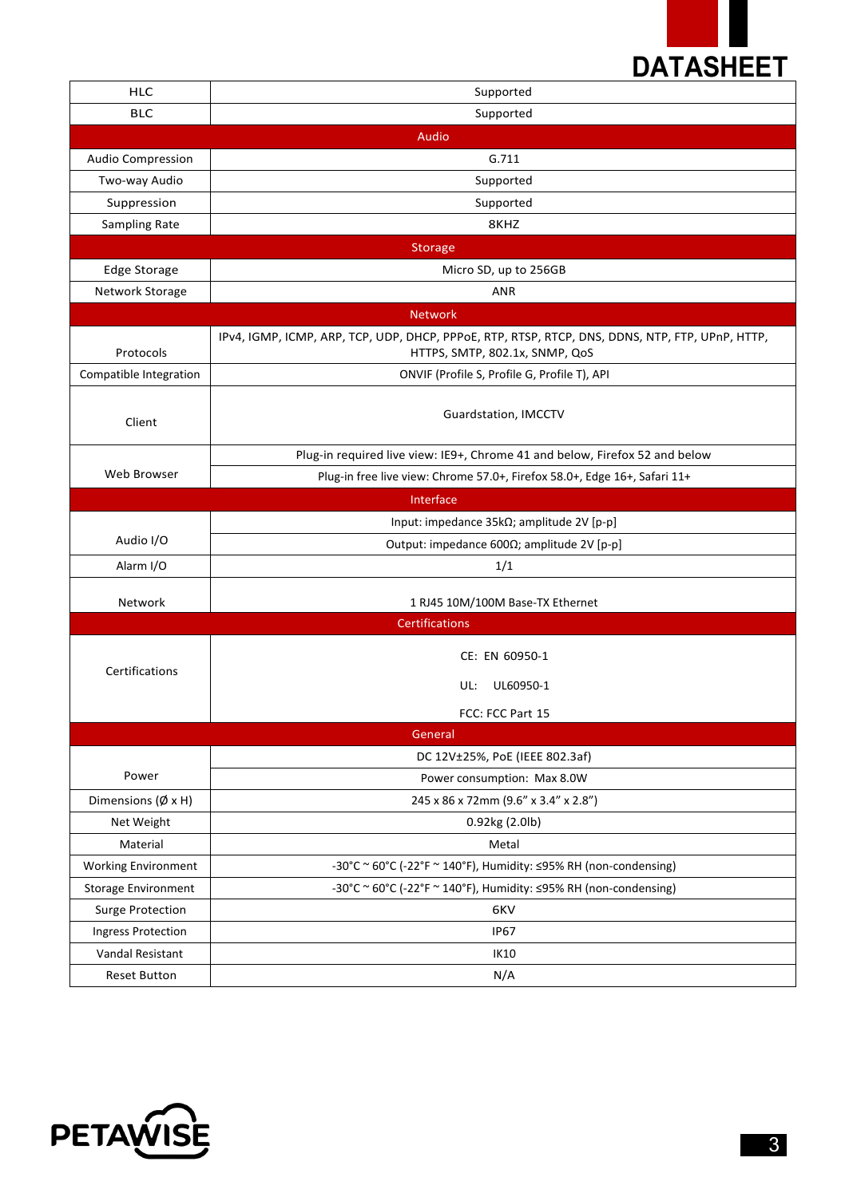

| <b>HLC</b>                    | Supported                                                                                                                         |  |  |  |  |
|-------------------------------|-----------------------------------------------------------------------------------------------------------------------------------|--|--|--|--|
| <b>BLC</b>                    | Supported                                                                                                                         |  |  |  |  |
|                               | Audio                                                                                                                             |  |  |  |  |
| <b>Audio Compression</b>      | G.711                                                                                                                             |  |  |  |  |
| Two-way Audio                 | Supported                                                                                                                         |  |  |  |  |
| Suppression                   | Supported                                                                                                                         |  |  |  |  |
| Sampling Rate                 | 8KHZ                                                                                                                              |  |  |  |  |
| <b>Storage</b>                |                                                                                                                                   |  |  |  |  |
| Edge Storage                  | Micro SD, up to 256GB                                                                                                             |  |  |  |  |
| Network Storage               | <b>ANR</b>                                                                                                                        |  |  |  |  |
| <b>Network</b>                |                                                                                                                                   |  |  |  |  |
| Protocols                     | IPv4, IGMP, ICMP, ARP, TCP, UDP, DHCP, PPPoE, RTP, RTSP, RTCP, DNS, DDNS, NTP, FTP, UPnP, HTTP,<br>HTTPS, SMTP, 802.1x, SNMP, QoS |  |  |  |  |
| Compatible Integration        | ONVIF (Profile S, Profile G, Profile T), API                                                                                      |  |  |  |  |
| Client                        | Guardstation, IMCCTV                                                                                                              |  |  |  |  |
|                               | Plug-in required live view: IE9+, Chrome 41 and below, Firefox 52 and below                                                       |  |  |  |  |
| Web Browser                   | Plug-in free live view: Chrome 57.0+, Firefox 58.0+, Edge 16+, Safari 11+                                                         |  |  |  |  |
|                               | Interface                                                                                                                         |  |  |  |  |
| Audio I/O                     | Input: impedance 35kΩ; amplitude 2V [p-p]                                                                                         |  |  |  |  |
|                               | Output: impedance 600Ω; amplitude 2V [p-p]                                                                                        |  |  |  |  |
| Alarm I/O                     | 1/1                                                                                                                               |  |  |  |  |
| Network                       | 1 RJ45 10M/100M Base-TX Ethernet                                                                                                  |  |  |  |  |
|                               | Certifications                                                                                                                    |  |  |  |  |
| Certifications                | CE: EN 60950-1                                                                                                                    |  |  |  |  |
|                               | UL60950-1<br>UL:                                                                                                                  |  |  |  |  |
|                               | FCC: FCC Part 15                                                                                                                  |  |  |  |  |
|                               | General                                                                                                                           |  |  |  |  |
|                               | DC 12V±25%, PoE (IEEE 802.3af)                                                                                                    |  |  |  |  |
| Power                         | Power consumption: Max 8.0W                                                                                                       |  |  |  |  |
| Dimensions ( $\emptyset$ x H) | 245 x 86 x 72mm (9.6" x 3.4" x 2.8")                                                                                              |  |  |  |  |
| Net Weight                    | 0.92kg (2.0lb)                                                                                                                    |  |  |  |  |
| Material                      | Metal                                                                                                                             |  |  |  |  |
| <b>Working Environment</b>    | -30°C ~ 60°C (-22°F ~ 140°F), Humidity: ≤95% RH (non-condensing)                                                                  |  |  |  |  |
| <b>Storage Environment</b>    | -30°C ~ 60°C (-22°F ~ 140°F), Humidity: ≤95% RH (non-condensing)                                                                  |  |  |  |  |
| <b>Surge Protection</b>       | 6KV                                                                                                                               |  |  |  |  |
| <b>Ingress Protection</b>     | <b>IP67</b>                                                                                                                       |  |  |  |  |
| Vandal Resistant              | IK10                                                                                                                              |  |  |  |  |
| <b>Reset Button</b>           | N/A                                                                                                                               |  |  |  |  |

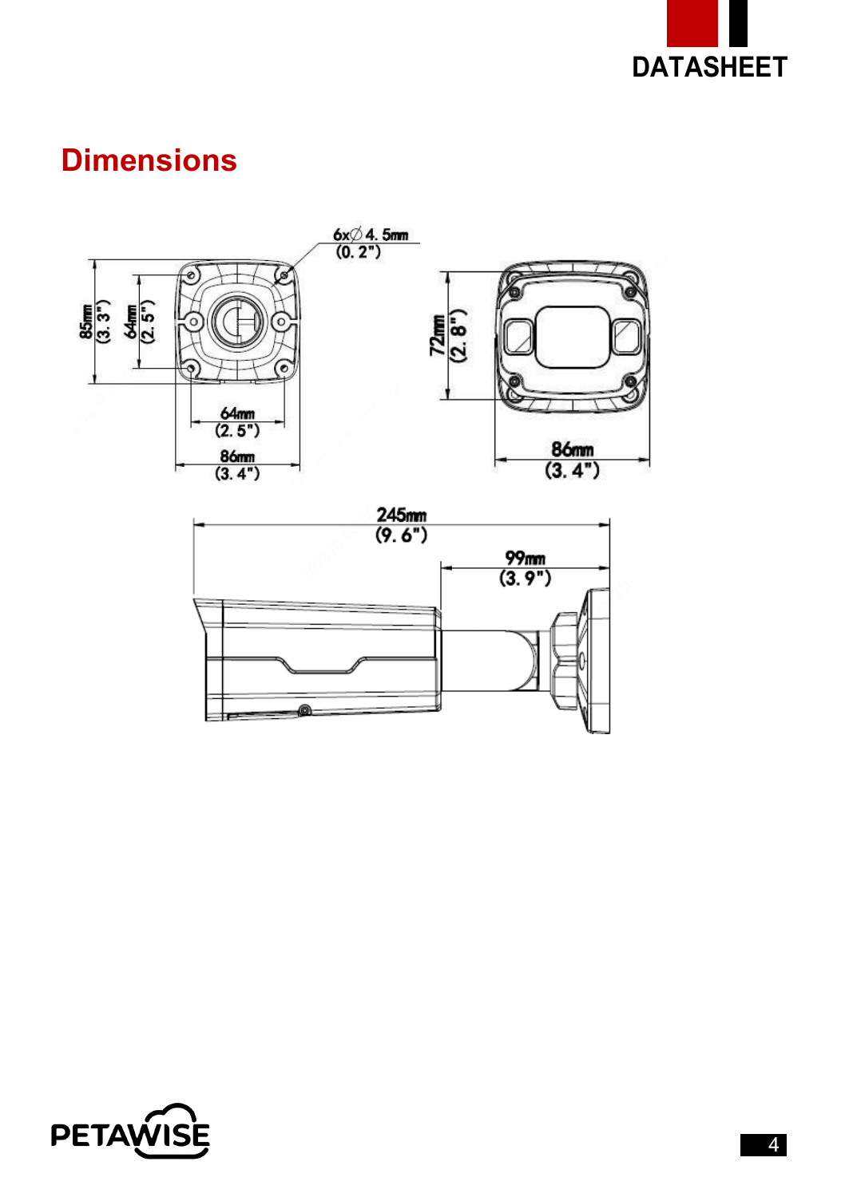

## **Dimensions**